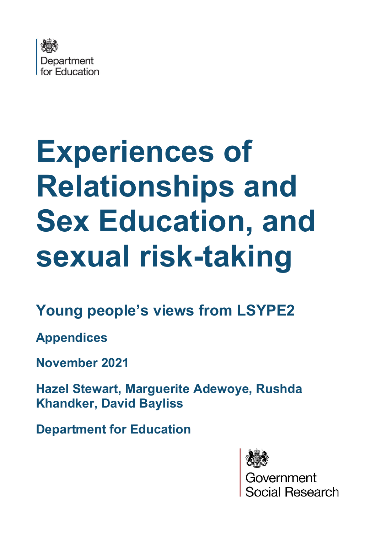

# **Experiences of Relationships and Sex Education, and sexual risk-taking**

# **Young people's views from LSYPE2**

**Appendices** 

**November 2021**

**Hazel Stewart, Marguerite Adewoye, Rushda Khandker, David Bayliss**

**Department for Education**



ernment<br>ial Research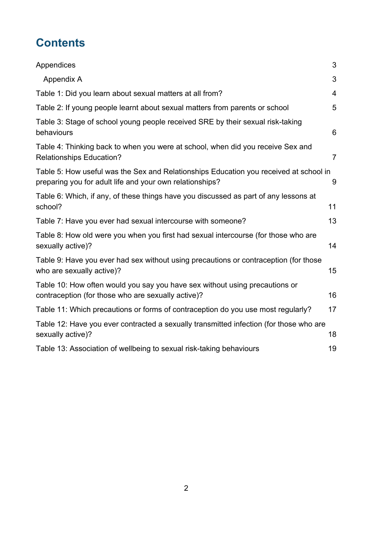# **Contents**

| Appendices                                                                                                                                        | 3              |
|---------------------------------------------------------------------------------------------------------------------------------------------------|----------------|
| Appendix A                                                                                                                                        | 3              |
| Table 1: Did you learn about sexual matters at all from?                                                                                          | $\overline{4}$ |
| Table 2: If young people learnt about sexual matters from parents or school                                                                       | 5              |
| Table 3: Stage of school young people received SRE by their sexual risk-taking<br>behaviours                                                      | 6              |
| Table 4: Thinking back to when you were at school, when did you receive Sex and<br><b>Relationships Education?</b>                                | $\overline{7}$ |
| Table 5: How useful was the Sex and Relationships Education you received at school in<br>preparing you for adult life and your own relationships? | 9              |
| Table 6: Which, if any, of these things have you discussed as part of any lessons at<br>school?                                                   | 11             |
| Table 7: Have you ever had sexual intercourse with someone?                                                                                       | 13             |
| Table 8: How old were you when you first had sexual intercourse (for those who are<br>sexually active)?                                           | 14             |
| Table 9: Have you ever had sex without using precautions or contraception (for those<br>who are sexually active)?                                 | 15             |
| Table 10: How often would you say you have sex without using precautions or<br>contraception (for those who are sexually active)?                 | 16             |
| Table 11: Which precautions or forms of contraception do you use most regularly?                                                                  | 17             |
| Table 12: Have you ever contracted a sexually transmitted infection (for those who are<br>sexually active)?                                       | 18             |
| Table 13: Association of wellbeing to sexual risk-taking behaviours                                                                               | 19             |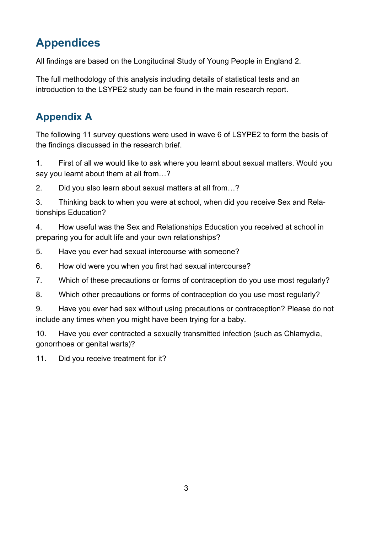# <span id="page-2-0"></span>**Appendices**

All findings are based on the Longitudinal Study of Young People in England 2.

The full methodology of this analysis including details of statistical tests and an introduction to the LSYPE2 study can be found in the main research report.

#### <span id="page-2-1"></span>**Appendix A**

The following 11 survey questions were used in wave 6 of LSYPE2 to form the basis of the findings discussed in the research brief.

1. First of all we would like to ask where you learnt about sexual matters. Would you say you learnt about them at all from…?

2. Did you also learn about sexual matters at all from…?

3. Thinking back to when you were at school, when did you receive Sex and Relationships Education?

4. How useful was the Sex and Relationships Education you received at school in preparing you for adult life and your own relationships?

5. Have you ever had sexual intercourse with someone?

6. How old were you when you first had sexual intercourse?

7. Which of these precautions or forms of contraception do you use most regularly?

8. Which other precautions or forms of contraception do you use most regularly?

9. Have you ever had sex without using precautions or contraception? Please do not include any times when you might have been trying for a baby.

10. Have you ever contracted a sexually transmitted infection (such as Chlamydia, gonorrhoea or genital warts)?

11. Did you receive treatment for it?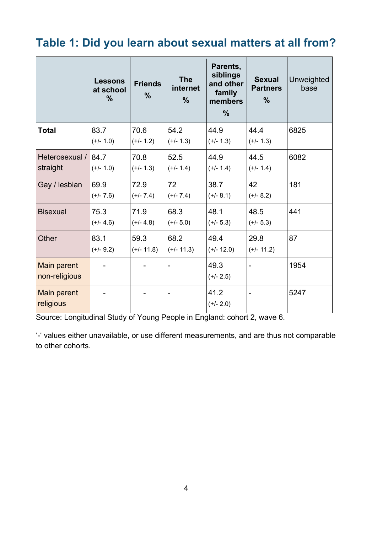### <span id="page-3-0"></span>**Table 1: Did you learn about sexual matters at all from?**

|                                     | <b>Lessons</b><br>at school<br>$\frac{0}{0}$ | <b>Friends</b><br>$\frac{0}{0}$ | <b>The</b><br>internet<br>$\frac{0}{0}$ | Parents,<br>siblings<br>and other<br>family<br>members<br>$\frac{0}{0}$ | <b>Sexual</b><br><b>Partners</b><br>$\frac{9}{6}$ | Unweighted<br>base |
|-------------------------------------|----------------------------------------------|---------------------------------|-----------------------------------------|-------------------------------------------------------------------------|---------------------------------------------------|--------------------|
| <b>Total</b>                        | 83.7<br>$(+/- 1.0)$                          | 70.6<br>$(+/- 1.2)$             | 54.2<br>$(+/- 1.3)$                     | 44.9<br>$(+/- 1.3)$                                                     | 44.4<br>$(+/- 1.3)$                               | 6825               |
| Heterosexual /<br>straight          | 84.7<br>$(+/- 1.0)$                          | 70.8<br>$(+/- 1.3)$             | 52.5<br>$(+/- 1.4)$                     | 44.9<br>$(+/- 1.4)$                                                     | 44.5<br>$(+/- 1.4)$                               | 6082               |
| Gay / lesbian                       | 69.9<br>$(+/- 7.6)$                          | 72.9<br>$(+/- 7.4)$             | 72<br>$(+/- 7.4)$                       | 38.7<br>$(+/- 8.1)$                                                     | 42<br>$(+/- 8.2)$                                 | 181                |
| <b>Bisexual</b>                     | 75.3<br>$(+/- 4.6)$                          | 71.9<br>$(+/- 4.8)$             | 68.3<br>$(+/- 5.0)$                     | 48.1<br>$(+/- 5.3)$                                                     | 48.5<br>$(+/- 5.3)$                               | 441                |
| Other                               | 83.1<br>$(+/- 9.2)$                          | 59.3<br>$(+/- 11.8)$            | 68.2<br>$(+/- 11.3)$                    | 49.4<br>$(+/- 12.0)$                                                    | 29.8<br>$(+/- 11.2)$                              | 87                 |
| <b>Main parent</b><br>non-religious |                                              |                                 |                                         | 49.3<br>$(+/- 2.5)$                                                     |                                                   | 1954               |
| Main parent<br>religious            |                                              |                                 | Ē,                                      | 41.2<br>$(+/- 2.0)$                                                     |                                                   | 5247               |

Source: Longitudinal Study of Young People in England: cohort 2, wave 6.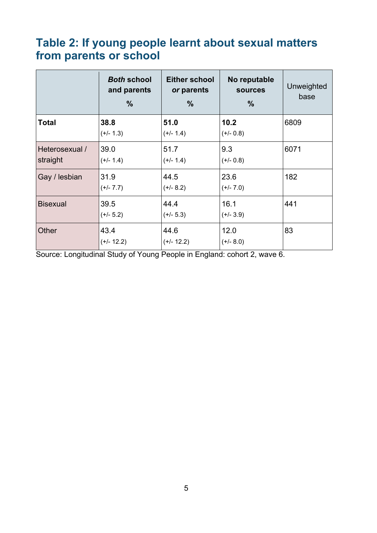#### <span id="page-4-0"></span>**Table 2: If young people learnt about sexual matters from parents or school**

|                            | <b>Both school</b><br>and parents<br>$\frac{9}{6}$ | <b>Either school</b><br>or parents<br>$\frac{9}{6}$ | No reputable<br><b>sources</b><br>$\%$ | Unweighted<br>base |
|----------------------------|----------------------------------------------------|-----------------------------------------------------|----------------------------------------|--------------------|
| <b>Total</b>               | 38.8<br>$(+/- 1.3)$                                | 51.0<br>$(+/- 1.4)$                                 | 10.2<br>$(+/- 0.8)$                    | 6809               |
| Heterosexual /<br>straight | 39.0<br>$(+/- 1.4)$                                | 51.7<br>$(+/- 1.4)$                                 | 9.3<br>$(+/- 0.8)$                     | 6071               |
| Gay / lesbian              | 31.9<br>$(+/- 7.7)$                                | 44.5<br>$(+/- 8.2)$                                 | 23.6<br>$(+/- 7.0)$                    | 182                |
| <b>Bisexual</b>            | 39.5<br>$(+/- 5.2)$                                | 44.4<br>$(+/- 5.3)$                                 | 16.1<br>$(+/- 3.9)$                    | 441                |
| Other                      | 43.4<br>$(+/- 12.2)$                               | 44.6<br>$(+/- 12.2)$                                | 12.0<br>$(+/- 8.0)$                    | 83                 |

Source: Longitudinal Study of Young People in England: cohort 2, wave 6.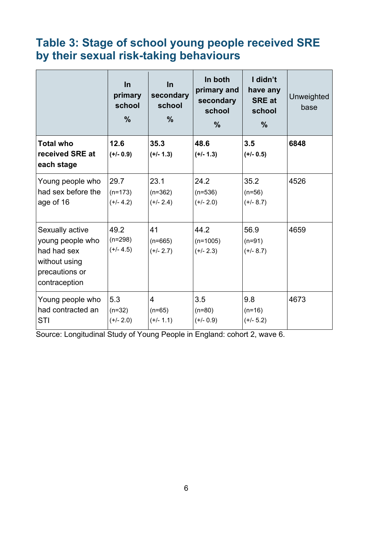## <span id="page-5-0"></span>**Table 3: Stage of school young people received SRE by their sexual risk-taking behaviours**

|                                                                                                        | In<br>primary<br>school<br>$\frac{0}{0}$ | In<br>secondary<br>school<br>$\%$ | In both<br>primary and<br>secondary<br>school<br>$\frac{9}{6}$ | I didn't<br>have any<br><b>SRE at</b><br>school<br>$\frac{0}{0}$ | <b>Unweighted</b><br>base |
|--------------------------------------------------------------------------------------------------------|------------------------------------------|-----------------------------------|----------------------------------------------------------------|------------------------------------------------------------------|---------------------------|
| <b>Total who</b><br>received SRE at<br>each stage                                                      | 12.6<br>$(+/- 0.9)$                      | 35.3<br>$(+/- 1.3)$               | 48.6<br>$(+/- 1.3)$                                            | 3.5<br>$(+/- 0.5)$                                               | 6848                      |
| Young people who<br>had sex before the<br>age of 16                                                    | 29.7<br>$(n=173)$<br>$(+/- 4.2)$         | 23.1<br>$(n=362)$<br>$(+/- 2.4)$  | 24.2<br>$(n=536)$<br>$(+/- 2.0)$                               | 35.2<br>$(n=56)$<br>$(+/- 8.7)$                                  | 4526                      |
| Sexually active<br>young people who<br>had had sex<br>without using<br>precautions or<br>contraception | 49.2<br>$(n=298)$<br>$(+/- 4.5)$         | 41<br>$(n=665)$<br>$(+/- 2.7)$    | 44.2<br>$(n=1005)$<br>$(+/- 2.3)$                              | 56.9<br>$(n=91)$<br>$(+/- 8.7)$                                  | 4659                      |
| Young people who<br>had contracted an<br><b>STI</b>                                                    | 5.3<br>$(n=32)$<br>$(+/- 2.0)$           | 4<br>$(n=65)$<br>$(+/- 1.1)$      | 3.5<br>$(n=80)$<br>$(+/- 0.9)$                                 | 9.8<br>$(n=16)$<br>$(+/- 5.2)$                                   | 4673                      |

Source: Longitudinal Study of Young People in England: cohort 2, wave 6.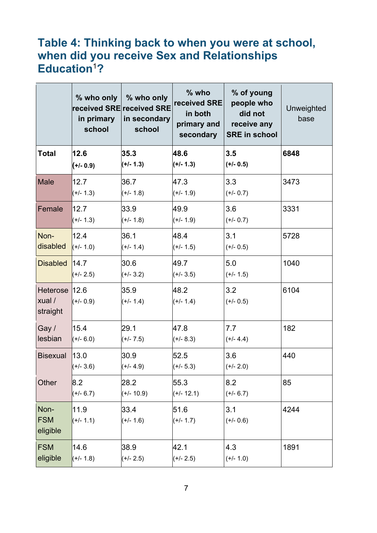#### <span id="page-6-0"></span>**Table 4: Thinking back to when you were at school, when did you receive Sex and Relationships Education**<sup>1</sup>**?**

|                                     | in primary<br>school | % who only $\vert \%$ who only<br>received SRE received SRE<br>in secondary<br>school | $%$ who<br>received SRE<br>in both<br>primary and<br>secondary | % of young<br>people who<br>did not<br>receive any<br><b>SRE in school</b> | Unweighted<br>base |
|-------------------------------------|----------------------|---------------------------------------------------------------------------------------|----------------------------------------------------------------|----------------------------------------------------------------------------|--------------------|
| <b>Total</b>                        | 12.6<br>$(+/- 0.9)$  | 35.3<br>$(+/- 1.3)$                                                                   | 48.6<br>$(+/- 1.3)$                                            | 3.5<br>$(+/- 0.5)$                                                         | 6848               |
| <b>Male</b>                         | 12.7<br>$(+/- 1.3)$  | 36.7<br>$(+/- 1.8)$                                                                   | 47.3<br>$(+/- 1.9)$                                            | 3.3<br>$(+/- 0.7)$                                                         | 3473               |
| Female                              | 12.7<br>$(+/- 1.3)$  | 33.9<br>$(+/- 1.8)$                                                                   | 49.9<br>$(+/- 1.9)$                                            | 3.6<br>$(+/- 0.7)$                                                         | 3331               |
| Non-<br>disabled                    | 12.4<br>$(+/- 1.0)$  | 36.1<br>$(+/- 1.4)$                                                                   | 48.4<br>$(+/- 1.5)$                                            | 3.1<br>$(+/- 0.5)$                                                         | 5728               |
| <b>Disabled</b>                     | 14.7<br>$(+/- 2.5)$  | 30.6<br>$(+/- 3.2)$                                                                   | 49.7<br>$(+/- 3.5)$                                            | 5.0<br>$(+/- 1.5)$                                                         | 1040               |
| Heterose 12.6<br>xual /<br>straight | $(+/- 0.9)$          | 35.9<br>$(+/- 1.4)$                                                                   | 48.2<br>$(+/- 1.4)$                                            | 3.2<br>$(+/- 0.5)$                                                         | 6104               |
| Gay /<br>lesbian                    | 15.4<br>$(+/- 6.0)$  | 29.1<br>$(+/- 7.5)$                                                                   | 47.8<br>$(+/- 8.3)$                                            | 7.7<br>$(+/- 4.4)$                                                         | 182                |
| <b>Bisexual</b>                     | 13.0<br>$(+/- 3.6)$  | 30.9<br>$(+/- 4.9)$                                                                   | 52.5<br>$(+/- 5.3)$                                            | 3.6<br>$(+/- 2.0)$                                                         | 440                |
| Other                               | 8.2<br>$(+/- 6.7)$   | 28.2<br>$(+/- 10.9)$                                                                  | 55.3<br>$(+/- 12.1)$                                           | 8.2<br>$(+/- 6.7)$                                                         | 85                 |
| Non-<br><b>FSM</b><br>eligible      | 11.9<br>$(+/- 1.1)$  | 33.4<br>$(+/- 1.6)$                                                                   | 51.6<br>$(+/- 1.7)$                                            | 3.1<br>$(+/- 0.6)$                                                         | 4244               |
| <b>FSM</b><br>eligible              | 14.6<br>$(+/- 1.8)$  | 38.9<br>$(+/- 2.5)$                                                                   | 42.1<br>$(+/- 2.5)$                                            | 4.3<br>$(+/- 1.0)$                                                         | 1891               |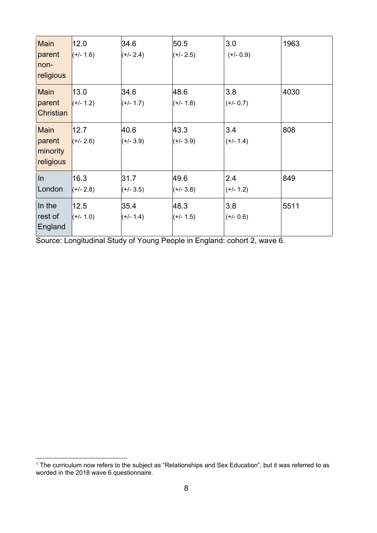| <b>Main</b><br>parent<br>non-<br>religious     | 12.0<br>$(+/- 1.6)$ | 34.6<br>$(+/- 2.4)$ | 50.5<br>$(+/- 2.5)$ | 3.0<br>$(+/- 0.9)$ | 1963 |
|------------------------------------------------|---------------------|---------------------|---------------------|--------------------|------|
| Main<br>parent<br><b>Christian</b>             | 13.0<br>$(+/- 1.2)$ | 34.6<br>$(+/- 1.7)$ | 48.6<br>$(+/- 1.8)$ | 3.8<br>$(+/- 0.7)$ | 4030 |
| <b>Main</b><br>parent<br>minority<br>religious | 12.7<br>$(+/- 2.6)$ | 40.6<br>$(+/- 3.9)$ | 43.3<br>$(+/- 3.9)$ | 3.4<br>$(+/- 1.4)$ | 808  |
| In<br>London                                   | 16.3<br>$(+/- 2.8)$ | 31.7<br>$(+/- 3.5)$ | 49.6<br>$(+/- 3.8)$ | 2.4<br>$(+/- 1.2)$ | 849  |
| In the<br>rest of<br>England                   | 12.5<br>$(+/- 1.0)$ | 35.4<br>$(+/- 1.4)$ | 48.3<br>$(+/- 1.5)$ | 3.8<br>$(+/- 0.6)$ | 5511 |

Source: Longitudinal Study of Young People in England: cohort 2, wave 6.

 $<sup>1</sup>$  The curriculum now refers to the subject as "Relationships and Sex Education", but it was referred to as</sup> worded in the 2018 wave 6 questionnaire.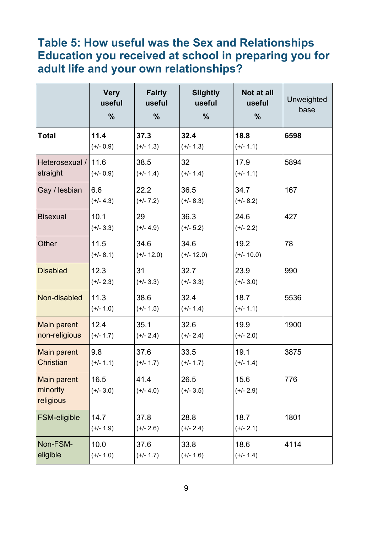#### <span id="page-8-0"></span>**Table 5: How useful was the Sex and Relationships Education you received at school in preparing you for adult life and your own relationships?**

|                                             | <b>Very</b><br>useful<br>$\frac{0}{0}$ | <b>Fairly</b><br>useful<br>$\frac{0}{0}$ | <b>Slightly</b><br>useful<br>$\%$ | Not at all<br>useful<br>$\%$ | Unweighted<br>base |
|---------------------------------------------|----------------------------------------|------------------------------------------|-----------------------------------|------------------------------|--------------------|
| <b>Total</b>                                | 11.4<br>$(+/- 0.9)$                    | 37.3<br>$(+/- 1.3)$                      | 32.4<br>$(+/- 1.3)$               | 18.8<br>$(+/- 1.1)$          | 6598               |
| Heterosexual / 11.6<br>straight             | $(+/- 0.9)$                            | 38.5<br>$(+/- 1.4)$                      | 32<br>$(+/- 1.4)$                 | 17.9<br>$(+/- 1.1)$          | 5894               |
| Gay / lesbian                               | 6.6<br>$(+/- 4.3)$                     | 22.2<br>$(+/- 7.2)$                      | 36.5<br>$(+/- 8.3)$               | 34.7<br>$(+/- 8.2)$          | 167                |
| <b>Bisexual</b>                             | 10.1<br>$(+/- 3.3)$                    | 29<br>$(+/- 4.9)$                        | 36.3<br>$(+/- 5.2)$               | 24.6<br>$(+/- 2.2)$          | 427                |
| Other                                       | 11.5<br>$(+/- 8.1)$                    | 34.6<br>$(+/- 12.0)$                     | 34.6<br>$(+/- 12.0)$              | 19.2<br>$(+/- 10.0)$         | 78                 |
| <b>Disabled</b>                             | 12.3<br>$(+/- 2.3)$                    | 31<br>$(+/- 3.3)$                        | 32.7<br>$(+/- 3.3)$               | 23.9<br>$(+/- 3.0)$          | 990                |
| Non-disabled                                | 11.3<br>$(+/- 1.0)$                    | 38.6<br>$(+/- 1.5)$                      | 32.4<br>$(+/- 1.4)$               | 18.7<br>$(+/- 1.1)$          | 5536               |
| <b>Main parent</b><br>non-religious         | 12.4<br>$(+/- 1.7)$                    | 35.1<br>$(+/- 2.4)$                      | 32.6<br>$(+/- 2.4)$               | 19.9<br>$(+/- 2.0)$          | 1900               |
| Main parent<br>Christian                    | 9.8<br>$(+/- 1.1)$                     | 37.6<br>$(+/- 1.7)$                      | 33.5<br>$(+/- 1.7)$               | 19.1<br>$(+/- 1.4)$          | 3875               |
| <b>Main parent</b><br>minority<br>religious | 16.5<br>$(+/- 3.0)$                    | 41.4<br>$(+/- 4.0)$                      | 26.5<br>$(+/- 3.5)$               | 15.6<br>$(+/- 2.9)$          | 776                |
| FSM-eligible                                | 14.7<br>$(+/- 1.9)$                    | 37.8<br>$(+/- 2.6)$                      | 28.8<br>$(+/- 2.4)$               | 18.7<br>$(+/- 2.1)$          | 1801               |
| Non-FSM-<br>eligible                        | 10.0<br>$(+/- 1.0)$                    | 37.6<br>$(+/- 1.7)$                      | 33.8<br>$(+/- 1.6)$               | 18.6<br>$(+/- 1.4)$          | 4114               |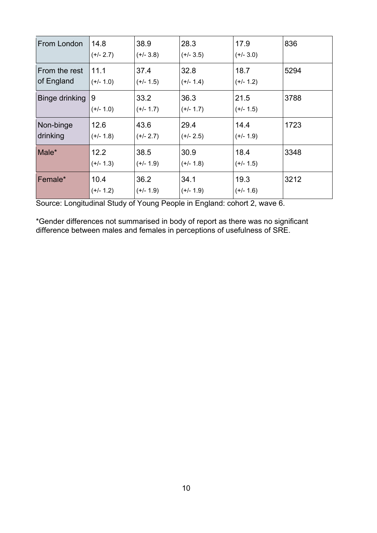| From London                 | 14.8<br>$(+/- 2.7)$ | 38.9<br>$(+/- 3.8)$ | 28.3<br>$(+/- 3.5)$ | 17.9<br>$(+/- 3.0)$ | 836  |
|-----------------------------|---------------------|---------------------|---------------------|---------------------|------|
| From the rest<br>of England | 11.1<br>$(+/- 1.0)$ | 37.4<br>$(+/- 1.5)$ | 32.8<br>$(+/- 1.4)$ | 18.7<br>$(+/- 1.2)$ | 5294 |
| Binge drinking              | 9<br>(+/- 1.0)      | 33.2<br>$(+/- 1.7)$ | 36.3<br>$(+/- 1.7)$ | 21.5<br>$(+/- 1.5)$ | 3788 |
| Non-binge<br>drinking       | 12.6<br>(+/- 1.8)   | 43.6<br>$(+/- 2.7)$ | 29.4<br>$(+/- 2.5)$ | 14.4<br>$(+/- 1.9)$ | 1723 |
| Male*                       | 12.2<br>$(+/- 1.3)$ | 38.5<br>$(+/- 1.9)$ | 30.9<br>$(+/- 1.8)$ | 18.4<br>$(+/- 1.5)$ | 3348 |
| Female*                     | 10.4<br>(+/- 1.2)   | 36.2<br>$(+/- 1.9)$ | 34.1<br>$(+/- 1.9)$ | 19.3<br>$(+/- 1.6)$ | 3212 |

Source: Longitudinal Study of Young People in England: cohort 2, wave 6.

\*Gender differences not summarised in body of report as there was no significant difference between males and females in perceptions of usefulness of SRE.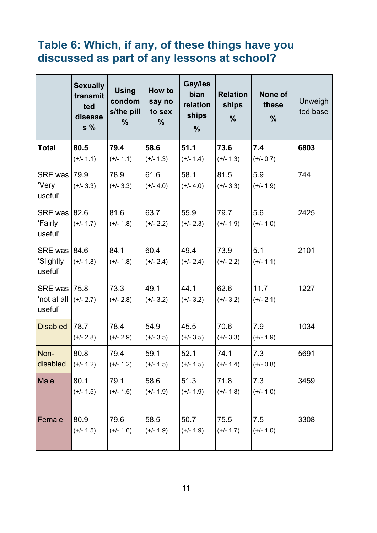#### <span id="page-10-0"></span>**Table 6: Which, if any, of these things have you discussed as part of any lessons at school?**

|                                               | <b>Sexually</b><br>transmit<br>ted<br>disease<br>$s\%$ | <b>Using</b><br>condom<br>s/the pill<br>$\frac{0}{0}$ | How to<br>say no<br>to sex<br>$\frac{9}{6}$ | Gay/les<br>bian<br>relation<br>ships<br>$\frac{0}{0}$ | <b>Relation</b><br>ships<br>$\frac{0}{0}$ | None of<br>these<br>$\frac{0}{0}$ | Unweigh<br>ted base |
|-----------------------------------------------|--------------------------------------------------------|-------------------------------------------------------|---------------------------------------------|-------------------------------------------------------|-------------------------------------------|-----------------------------------|---------------------|
| Total                                         | 80.5<br>$(+/- 1.1)$                                    | 79.4<br>$(+/- 1.1)$                                   | 58.6<br>$(+/- 1.3)$                         | 51.1<br>$(+/- 1.4)$                                   | 73.6<br>$(+/- 1.3)$                       | 7.4<br>$(+/- 0.7)$                | 6803                |
| <b>SRE was 79.9</b><br>'Very<br>useful'       | $(+/- 3.3)$                                            | 78.9<br>$(+/- 3.3)$                                   | 61.6<br>$(+/- 4.0)$                         | 58.1<br>$(+/- 4.0)$                                   | 81.5<br>$(+/- 3.3)$                       | 5.9<br>$(+/- 1.9)$                | 744                 |
| <b>SRE was 82.6</b><br>'Fairly<br>useful'     | $(+/- 1.7)$                                            | 81.6<br>$(+/- 1.8)$                                   | 63.7<br>$(+/- 2.2)$                         | 55.9<br>$(+/- 2.3)$                                   | 79.7<br>$(+/- 1.9)$                       | 5.6<br>$(+/- 1.0)$                | 2425                |
| SRE was   84.6<br>'Slightly<br>useful'        | $(+/- 1.8)$                                            | 84.1<br>$(+/- 1.8)$                                   | 60.4<br>$(+/- 2.4)$                         | 49.4<br>$(+/- 2.4)$                                   | 73.9<br>$(+/- 2.2)$                       | 5.1<br>$(+/- 1.1)$                | 2101                |
| <b>SRE was 75.8</b><br>'not at all<br>useful' | $(+/- 2.7)$                                            | 73.3<br>$(+/- 2.8)$                                   | 49.1<br>$(+/- 3.2)$                         | 44.1<br>$(+/- 3.2)$                                   | 62.6<br>$(+/- 3.2)$                       | 11.7<br>$(+/- 2.1)$               | 1227                |
| <b>Disabled</b>                               | 78.7<br>$(+/- 2.8)$                                    | 78.4<br>$(+/- 2.9)$                                   | 54.9<br>$(+/- 3.5)$                         | 45.5<br>$(+/- 3.5)$                                   | 70.6<br>$(+/- 3.3)$                       | 7.9<br>$(+/- 1.9)$                | 1034                |
| Non-<br>disabled                              | 80.8<br>$(+/- 1.2)$                                    | 79.4<br>$(+/- 1.2)$                                   | 59.1<br>$(+/- 1.5)$                         | 52.1<br>$(+/- 1.5)$                                   | 74.1<br>$(+/- 1.4)$                       | 7.3<br>$(+/- 0.8)$                | 5691                |
| Male                                          | 80.1<br>$(+/- 1.5)$                                    | 79.1<br>$(+/- 1.5)$                                   | 58.6<br>$(+/- 1.9)$                         | 51.3<br>$(+/- 1.9)$                                   | 71.8<br>$(+/- 1.8)$                       | 7.3<br>$(+/- 1.0)$                | 3459                |
| Female                                        | 80.9<br>$(+/- 1.5)$                                    | 79.6<br>$(+/- 1.6)$                                   | 58.5<br>$(+/- 1.9)$                         | 50.7<br>$(+/- 1.9)$                                   | 75.5<br>$(+/- 1.7)$                       | 7.5<br>$(+/- 1.0)$                | 3308                |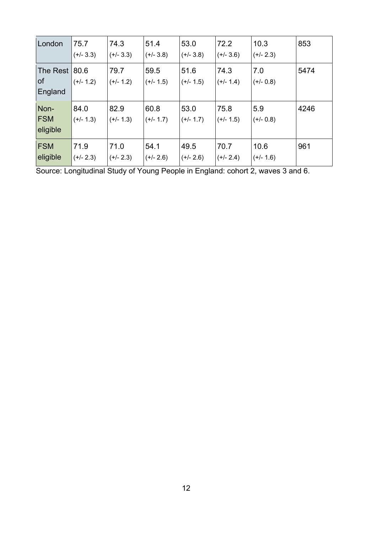| London                         | 75.7<br>$(+/- 3.3)$ | 74.3<br>$(+/- 3.3)$ | 51.4<br>$(+/- 3.8)$ | 53.0<br>$(+/- 3.8)$ | 72.2<br>$(+/- 3.6)$ | 10.3<br>$(+/- 2.3)$ | 853  |
|--------------------------------|---------------------|---------------------|---------------------|---------------------|---------------------|---------------------|------|
| The Rest<br>of<br>England      | 80.6<br>$(+/- 1.2)$ | 79.7<br>$(+/- 1.2)$ | 59.5<br>$(+/- 1.5)$ | 51.6<br>$(+/- 1.5)$ | 74.3<br>$(+/- 1.4)$ | 7.0<br>$(+/- 0.8)$  | 5474 |
| Non-<br><b>FSM</b><br>eligible | 84.0<br>$(+/- 1.3)$ | 82.9<br>$(+/- 1.3)$ | 60.8<br>$(+/- 1.7)$ | 53.0<br>$(+/- 1.7)$ | 75.8<br>$(+/- 1.5)$ | 5.9<br>$(+/- 0.8)$  | 4246 |
| <b>FSM</b><br>eligible         | 71.9<br>$(+/- 2.3)$ | 71.0<br>$(+/- 2.3)$ | 54.1<br>$(+/- 2.6)$ | 49.5<br>$(+/- 2.6)$ | 70.7<br>$(+/- 2.4)$ | 10.6<br>$(+/- 1.6)$ | 961  |

Source: Longitudinal Study of Young People in England: cohort 2, waves 3 and 6.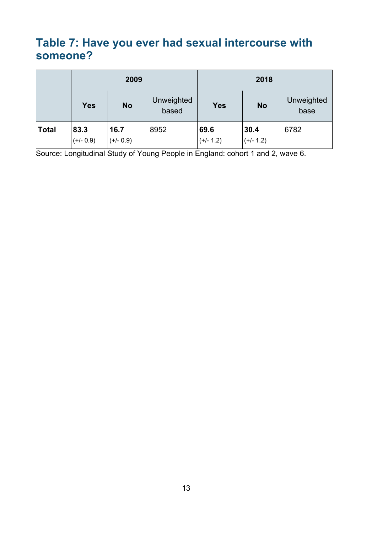#### <span id="page-12-0"></span>**Table 7: Have you ever had sexual intercourse with someone?**

|              | 2009                |                     |                     |                     | 2018                |                    |  |
|--------------|---------------------|---------------------|---------------------|---------------------|---------------------|--------------------|--|
|              | <b>Yes</b>          | <b>No</b>           | Unweighted<br>based | <b>Yes</b>          | <b>No</b>           | Unweighted<br>base |  |
| <b>Total</b> | 83.3<br>$(+/- 0.9)$ | 16.7<br>$(+/- 0.9)$ | 8952                | 69.6<br>$(+/- 1.2)$ | 30.4<br>$(+/- 1.2)$ | 6782               |  |

Source: Longitudinal Study of Young People in England: cohort 1 and 2, wave 6.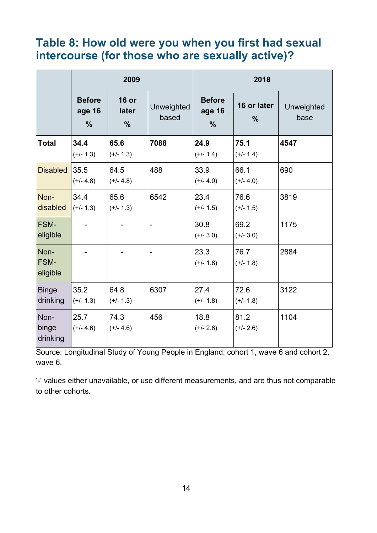#### <span id="page-13-0"></span>**Table 8: How old were you when you first had sexual intercourse (for those who are sexually active)?**

|                                 | 2009                                     |                                        |                            |                                          | 2018                         |                    |  |
|---------------------------------|------------------------------------------|----------------------------------------|----------------------------|------------------------------------------|------------------------------|--------------------|--|
|                                 | <b>Before</b><br>age 16<br>$\frac{0}{0}$ | <b>16 or</b><br>later<br>$\frac{0}{0}$ | <b>Unweighted</b><br>based | <b>Before</b><br>age 16<br>$\frac{0}{0}$ | 16 or later<br>$\frac{0}{0}$ | Unweighted<br>base |  |
| <b>Total</b>                    | 34.4<br>$(+/- 1.3)$                      | 65.6<br>$(+/- 1.3)$                    | 7088                       | 24.9<br>$(+/- 1.4)$                      | 75.1<br>$(+/- 1.4)$          | 4547               |  |
| <b>Disabled</b>                 | 35.5<br>$(+/- 4.8)$                      | 64.5<br>$(+/- 4.8)$                    | 488                        | 33.9<br>$(+/- 4.0)$                      | 66.1<br>$(+/- 4.0)$          | 690                |  |
| Non-<br>disabled                | 34.4<br>$(+/- 1.3)$                      | 65.6<br>$(+/- 1.3)$                    | 6542                       | 23.4<br>$(+/- 1.5)$                      | 76.6<br>$(+/- 1.5)$          | 3819               |  |
| <b>FSM-</b><br>eligible         |                                          |                                        |                            | 30.8<br>$(+/- 3.0)$                      | 69.2<br>$(+/- 3.0)$          | 1175               |  |
| Non-<br><b>FSM-</b><br>eligible |                                          |                                        |                            | 23.3<br>$(+/- 1.8)$                      | 76.7<br>$(+/- 1.8)$          | 2884               |  |
| <b>Binge</b><br>drinking        | 35.2<br>$(+/- 1.3)$                      | 64.8<br>$(+/- 1.3)$                    | 6307                       | 27.4<br>$(+/- 1.8)$                      | 72.6<br>$(+/- 1.8)$          | 3122               |  |
| Non-<br>binge<br>drinking       | 25.7<br>$(+/- 4.6)$                      | 74.3<br>$(+/- 4.6)$                    | 456                        | 18.8<br>$(+/- 2.6)$                      | 81.2<br>$(+/- 2.6)$          | 1104               |  |

Source: Longitudinal Study of Young People in England: cohort 1, wave 6 and cohort 2, wave 6.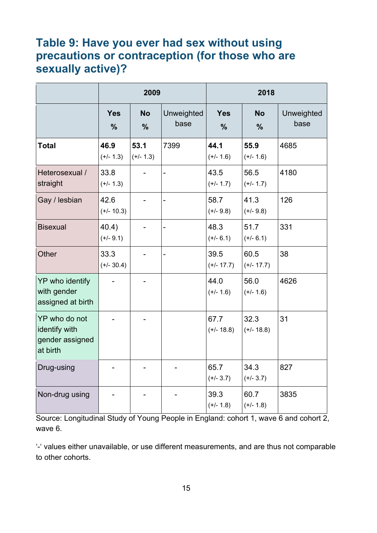#### <span id="page-14-0"></span>**Table 9: Have you ever had sex without using precautions or contraception (for those who are sexually active)?**

|                                                               | 2009                        |                            |                    | 2018                        |                            |                    |
|---------------------------------------------------------------|-----------------------------|----------------------------|--------------------|-----------------------------|----------------------------|--------------------|
|                                                               | <b>Yes</b><br>$\frac{0}{0}$ | <b>No</b><br>$\frac{0}{0}$ | Unweighted<br>base | <b>Yes</b><br>$\frac{0}{0}$ | <b>No</b><br>$\frac{9}{6}$ | Unweighted<br>base |
| <b>Total</b>                                                  | 46.9<br>$(+/- 1.3)$         | 53.1<br>$(+/- 1.3)$        | 7399               | 44.1<br>$(+/- 1.6)$         | 55.9<br>$(+/- 1.6)$        | 4685               |
| Heterosexual /<br>straight                                    | 33.8<br>$(+/- 1.3)$         |                            | ÷,                 | 43.5<br>$(+/- 1.7)$         | 56.5<br>$(+/- 1.7)$        | 4180               |
| Gay / lesbian                                                 | 42.6<br>$(+/- 10.3)$        |                            |                    | 58.7<br>$(+/- 9.8)$         | 41.3<br>$(+/- 9.8)$        | 126                |
| <b>Bisexual</b>                                               | 40.4)<br>$(+/- 9.1)$        |                            |                    | 48.3<br>$(+/- 6.1)$         | 51.7<br>$(+/- 6.1)$        | 331                |
| <b>Other</b>                                                  | 33.3<br>$(+/- 30.4)$        |                            |                    | 39.5<br>$(+/- 17.7)$        | 60.5<br>$(+/- 17.7)$       | 38                 |
| YP who identify<br>with gender<br>assigned at birth           |                             |                            |                    | 44.0<br>$(+/- 1.6)$         | 56.0<br>$(+/- 1.6)$        | 4626               |
| YP who do not<br>identify with<br>gender assigned<br>at birth |                             |                            |                    | 67.7<br>$(+/- 18.8)$        | 32.3<br>$(+/- 18.8)$       | 31                 |
| Drug-using                                                    |                             |                            |                    | 65.7<br>$(+/- 3.7)$         | 34.3<br>$(+/- 3.7)$        | 827                |
| Non-drug using                                                |                             |                            |                    | 39.3<br>$(+/- 1.8)$         | 60.7<br>$(+/- 1.8)$        | 3835               |

Source: Longitudinal Study of Young People in England: cohort 1, wave 6 and cohort 2, wave 6.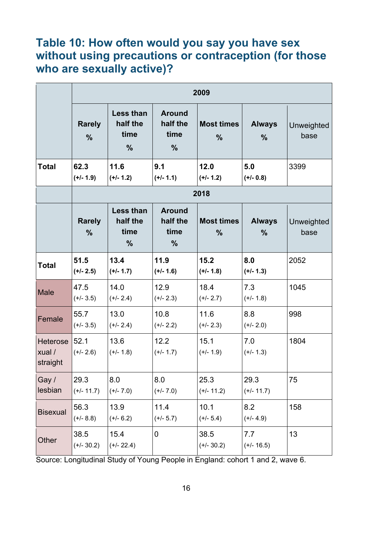#### <span id="page-15-0"></span>**Table 10: How often would you say you have sex without using precautions or contraception (for those who are sexually active)?**

|                                       | 2009                           |                                                       |                                                    |                                    |                                |                    |  |  |
|---------------------------------------|--------------------------------|-------------------------------------------------------|----------------------------------------------------|------------------------------------|--------------------------------|--------------------|--|--|
|                                       | <b>Rarely</b><br>$\frac{0}{0}$ | <b>Less than</b><br>half the<br>time<br>$\frac{9}{6}$ | <b>Around</b><br>half the<br>time<br>$\frac{0}{0}$ | <b>Most times</b><br>$\frac{9}{6}$ | <b>Always</b><br>$\frac{0}{0}$ | Unweighted<br>base |  |  |
| <b>Total</b>                          | 62.3<br>$(+/- 1.9)$            | 11.6<br>$(+/- 1.2)$                                   | 9.1<br>$(+/- 1.1)$                                 | 12.0<br>$(+/- 1.2)$                | 5.0<br>$(+/- 0.8)$             | 3399               |  |  |
|                                       | 2018                           |                                                       |                                                    |                                    |                                |                    |  |  |
|                                       | <b>Rarely</b><br>$\frac{0}{0}$ | <b>Less than</b><br>half the<br>time<br>$\frac{0}{0}$ | <b>Around</b><br>half the<br>time<br>$\frac{9}{6}$ | <b>Most times</b><br>$\frac{9}{6}$ | <b>Always</b><br>$\frac{9}{6}$ | Unweighted<br>base |  |  |
| Total                                 | 51.5<br>$(+/- 2.5)$            | 13.4<br>$(+/- 1.7)$                                   | 11.9<br>$(+/- 1.6)$                                | 15.2<br>$(+/- 1.8)$                | 8.0<br>$(+/- 1.3)$             | 2052               |  |  |
| <b>Male</b>                           | 47.5<br>$(+/- 3.5)$            | 14.0<br>$(+/- 2.4)$                                   | 12.9<br>$(+/- 2.3)$                                | 18.4<br>$(+/- 2.7)$                | 7.3<br>$(+/- 1.8)$             | 1045               |  |  |
| Female                                | 55.7<br>$(+/- 3.5)$            | 13.0<br>$(+/- 2.4)$                                   | 10.8<br>$(+/- 2.2)$                                | 11.6<br>$(+/- 2.3)$                | 8.8<br>$(+/- 2.0)$             | 998                |  |  |
| <b>Heterose</b><br>xual /<br>straight | 52.1<br>$(+/- 2.6)$            | 13.6<br>$(+/- 1.8)$                                   | 12.2<br>$(+/- 1.7)$                                | 15.1<br>$(+/- 1.9)$                | 7.0<br>$(+/- 1.3)$             | 1804               |  |  |
| Gay /<br>lesbian                      | 29.3<br>$(+/- 11.7)$           | 8.0<br>$(+/- 7.0)$                                    | 8.0<br>$(+/- 7.0)$                                 | 25.3<br>$(+/- 11.2)$               | 29.3<br>$(+/- 11.7)$           | 75                 |  |  |
| <b>Bisexual</b>                       | 56.3<br>$(+/- 8.8)$            | 13.9<br>$(+/- 6.2)$                                   | 11.4<br>$(+/- 5.7)$                                | 10.1<br>$(+/- 5.4)$                | 8.2<br>$(+/- 4.9)$             | 158                |  |  |
| Other                                 | 38.5<br>$(+/- 30.2)$           | 15.4<br>$(+/- 22.4)$                                  | 0                                                  | 38.5<br>$(+/- 30.2)$               | 7.7<br>$(+/- 16.5)$            | 13                 |  |  |

Source: Longitudinal Study of Young People in England: cohort 1 and 2, wave 6.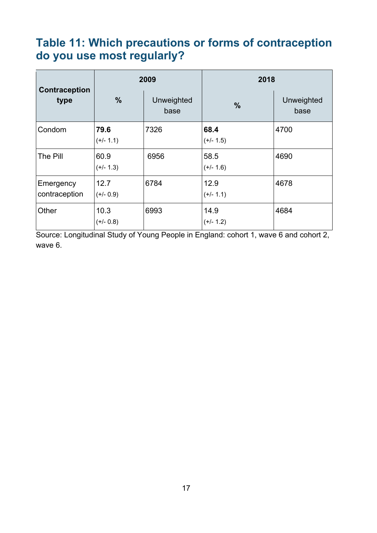#### <span id="page-16-0"></span>**Table 11: Which precautions or forms of contraception do you use most regularly?**

| Contraception<br>type      |                     | 2009               | 2018                |                    |  |
|----------------------------|---------------------|--------------------|---------------------|--------------------|--|
|                            | $\frac{0}{0}$       | Unweighted<br>base | $\frac{9}{6}$       | Unweighted<br>base |  |
| Condom                     | 79.6<br>$(+/- 1.1)$ | 7326               | 68.4<br>$(+/- 1.5)$ | 4700               |  |
| The Pill                   | 60.9<br>$(+/- 1.3)$ | 6956               | 58.5<br>$(+/- 1.6)$ | 4690               |  |
| Emergency<br>contraception | 12.7<br>$(+/- 0.9)$ | 6784               | 12.9<br>$(+/- 1.1)$ | 4678               |  |
| Other                      | 10.3<br>$(+/- 0.8)$ | 6993               | 14.9<br>$(+/- 1.2)$ | 4684               |  |

Source: Longitudinal Study of Young People in England: cohort 1, wave 6 and cohort 2, wave 6.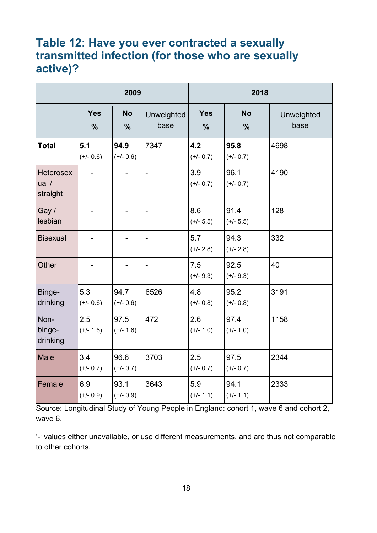#### <span id="page-17-0"></span>**Table 12: Have you ever contracted a sexually transmitted infection (for those who are sexually active)?**

|                                       | 2009                        |                            |                    | 2018                        |                            |                    |
|---------------------------------------|-----------------------------|----------------------------|--------------------|-----------------------------|----------------------------|--------------------|
|                                       | <b>Yes</b><br>$\frac{0}{0}$ | <b>No</b><br>$\frac{0}{0}$ | Unweighted<br>base | <b>Yes</b><br>$\frac{0}{0}$ | <b>No</b><br>$\frac{0}{0}$ | Unweighted<br>base |
| <b>Total</b>                          | 5.1<br>$(+/- 0.6)$          | 94.9<br>$(+/- 0.6)$        | 7347               | 4.2<br>$(+/- 0.7)$          | 95.8<br>$(+/- 0.7)$        | 4698               |
| <b>Heterosex</b><br>ual /<br>straight |                             |                            |                    | 3.9<br>$(+/- 0.7)$          | 96.1<br>$(+/- 0.7)$        | 4190               |
| Gay /<br>lesbian                      |                             |                            |                    | 8.6<br>$(+/- 5.5)$          | 91.4<br>$(+/- 5.5)$        | 128                |
| <b>Bisexual</b>                       |                             |                            | -                  | 5.7<br>$(+/- 2.8)$          | 94.3<br>$(+/- 2.8)$        | 332                |
| Other                                 |                             |                            | $\overline{a}$     | 7.5<br>$(+/- 9.3)$          | 92.5<br>$(+/- 9.3)$        | 40                 |
| Binge-<br>drinking                    | 5.3<br>$(+/- 0.6)$          | 94.7<br>$(+/- 0.6)$        | 6526               | 4.8<br>$(+/- 0.8)$          | 95.2<br>$(+/- 0.8)$        | 3191               |
| Non-<br>binge-<br>drinking            | 2.5<br>$(+/- 1.6)$          | 97.5<br>$(+/- 1.6)$        | 472                | 2.6<br>$(+/- 1.0)$          | 97.4<br>$(+/- 1.0)$        | 1158               |
| <b>Male</b>                           | 3.4<br>$(+/- 0.7)$          | 96.6<br>$(+/- 0.7)$        | 3703               | 2.5<br>$(+/- 0.7)$          | 97.5<br>$(+/- 0.7)$        | 2344               |
| Female                                | 6.9<br>$(+/- 0.9)$          | 93.1<br>$(+/- 0.9)$        | 3643               | 5.9<br>$(+/- 1.1)$          | 94.1<br>$(+/- 1.1)$        | 2333               |

Source: Longitudinal Study of Young People in England: cohort 1, wave 6 and cohort 2, wave 6.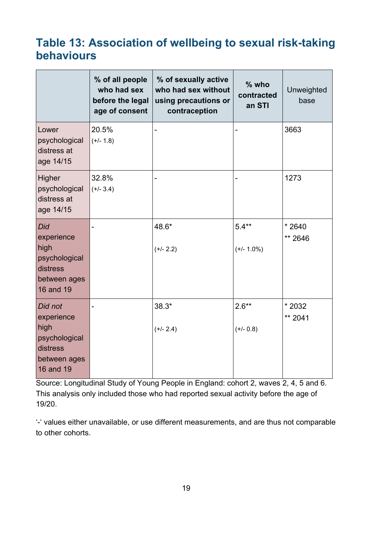#### <span id="page-18-0"></span>**Table 13: Association of wellbeing to sexual risk-taking behaviours**

|                                                                                         | % of all people<br>who had sex<br>before the legal<br>age of consent | % of sexually active<br>who had sex without<br>using precautions or<br>contraception | $%$ who<br>contracted<br>an STI | Unweighted<br>base |
|-----------------------------------------------------------------------------------------|----------------------------------------------------------------------|--------------------------------------------------------------------------------------|---------------------------------|--------------------|
| Lower<br>psychological<br>distress at<br>age 14/15                                      | 20.5%<br>$(+/- 1.8)$                                                 | -                                                                                    |                                 | 3663               |
| Higher<br>psychological<br>distress at<br>age 14/15                                     | 32.8%<br>$(+/- 3.4)$                                                 |                                                                                      |                                 | 1273               |
| Did<br>experience<br>high<br>psychological<br>distress<br>between ages<br>16 and 19     |                                                                      | 48.6*<br>$(+/- 2.2)$                                                                 | $5.4**$<br>$(+/- 1.0%)$         | $*2640$<br>** 2646 |
| Did not<br>experience<br>high<br>psychological<br>distress<br>between ages<br>16 and 19 |                                                                      | $38.3*$<br>$(+/- 2.4)$                                                               | $2.6**$<br>$(+/- 0.8)$          | * 2032<br>** 2041  |

Source: Longitudinal Study of Young People in England: cohort 2, waves 2, 4, 5 and 6. This analysis only included those who had reported sexual activity before the age of 19/20.